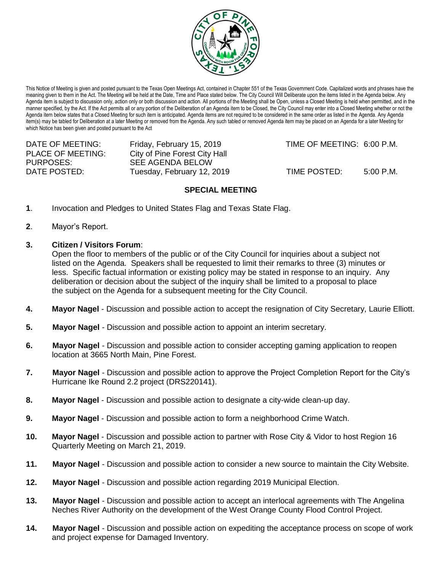

This Notice of Meeting is given and posted pursuant to the Texas Open Meetings Act, contained in Chapter 551 of the Texas Government Code. Capitalized words and phrases have the meaning given to them in the Act. The Meeting will be held at the Date, Time and Place stated below. The City Council Will Deliberate upon the items listed in the Agenda below. Any Agenda item is subject to discussion only, action only or both discussion and action. All portions of the Meeting shall be Open, unless a Closed Meeting is held when permitted, and in the manner specified, by the Act. If the Act permits all or any portion of the Deliberation of an Agenda item to be Closed, the City Council may enter into a Closed Meeting whether or not the Agenda item below states that a Closed Meeting for such item is anticipated. Agenda items are not required to be considered in the same order as listed in the Agenda. Any Agenda item(s) may be tabled for Deliberation at a later Meeting or removed from the Agenda. Any such tabled or removed Agenda item may be placed on an Agenda for a later Meeting for which Notice has been given and posted pursuant to the Act

| DATE OF MEETING:  | Friday, February 15, 2019     | TIME OF MEETING: 6:00 P.M. |             |
|-------------------|-------------------------------|----------------------------|-------------|
| PLACE OF MEETING: | City of Pine Forest City Hall |                            |             |
| PURPOSES:         | SEE AGENDA BELOW              |                            |             |
| DATE POSTED:      | Tuesday, February 12, 2019    | TIME POSTED:               | $5:00$ P.M. |

## **SPECIAL MEETING**

- **1**. Invocation and Pledges to United States Flag and Texas State Flag.
- **2**. Mayor's Report.
- **3. Citizen / Visitors Forum**:

Open the floor to members of the public or of the City Council for inquiries about a subject not listed on the Agenda. Speakers shall be requested to limit their remarks to three (3) minutes or less. Specific factual information or existing policy may be stated in response to an inquiry. Any deliberation or decision about the subject of the inquiry shall be limited to a proposal to place the subject on the Agenda for a subsequent meeting for the City Council.

- **4. Mayor Nagel** Discussion and possible action to accept the resignation of City Secretary, Laurie Elliott.
- **5. Mayor Nagel** Discussion and possible action to appoint an interim secretary.
- **6. Mayor Nagel** Discussion and possible action to consider accepting gaming application to reopen location at 3665 North Main, Pine Forest.
- **7. Mayor Nagel** Discussion and possible action to approve the Project Completion Report for the City's Hurricane Ike Round 2.2 project (DRS220141).
- **8. Mayor Nagel** Discussion and possible action to designate a city-wide clean-up day.
- **9. Mayor Nagel** Discussion and possible action to form a neighborhood Crime Watch.
- **10. Mayor Nagel** Discussion and possible action to partner with Rose City & Vidor to host Region 16 Quarterly Meeting on March 21, 2019.
- **11. Mayor Nagel** Discussion and possible action to consider a new source to maintain the City Website.
- **12. Mayor Nagel** Discussion and possible action regarding 2019 Municipal Election.
- **13. Mayor Nagel** Discussion and possible action to accept an interlocal agreements with The Angelina Neches River Authority on the development of the West Orange County Flood Control Project.
- **14. Mayor Nagel** Discussion and possible action on expediting the acceptance process on scope of work and project expense for Damaged Inventory.